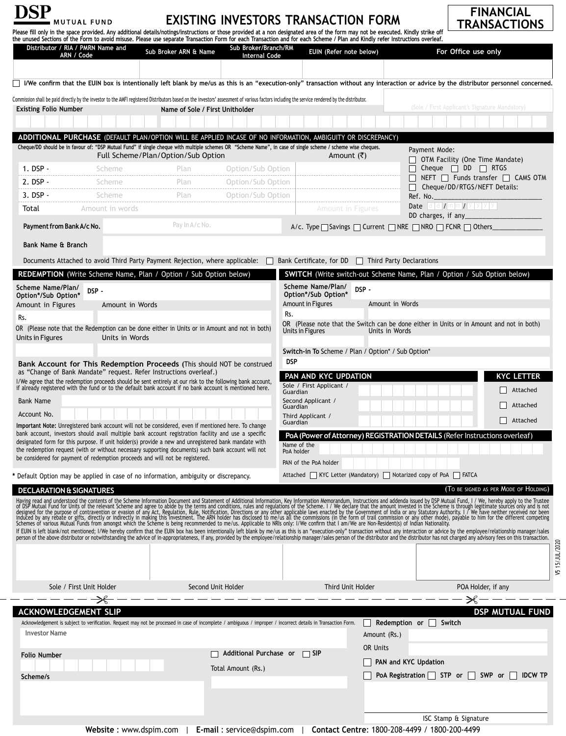| <b>EXISTING INVESTORS TRANSACTION FORM</b><br><b>MUTUAL FUND</b><br>Please fill only in the space provided. Any additional details/notings/instructions or those provided at a non designated area of the form may not be executed. Kindly strike off |                                                                                                                                                                                                             |                                    |                                              | <b>FINANCIAL</b><br><b>TRANSACTIONS</b>                                                                                                                                                                                                                                      |                                                                                                                                                                               |                                                                                                                                                                                                                                |  |  |
|-------------------------------------------------------------------------------------------------------------------------------------------------------------------------------------------------------------------------------------------------------|-------------------------------------------------------------------------------------------------------------------------------------------------------------------------------------------------------------|------------------------------------|----------------------------------------------|------------------------------------------------------------------------------------------------------------------------------------------------------------------------------------------------------------------------------------------------------------------------------|-------------------------------------------------------------------------------------------------------------------------------------------------------------------------------|--------------------------------------------------------------------------------------------------------------------------------------------------------------------------------------------------------------------------------|--|--|
|                                                                                                                                                                                                                                                       |                                                                                                                                                                                                             |                                    |                                              |                                                                                                                                                                                                                                                                              | the unused Sections of the Form to avoid misuse. Please use separate Transaction Form for each Transaction and for each Scheme / Plan and Kindly refer Instructions overleaf. |                                                                                                                                                                                                                                |  |  |
|                                                                                                                                                                                                                                                       | Distributor / RIA / PMRN Name and<br>ARN / Code                                                                                                                                                             | Sub Broker ARN & Name              | Sub Broker/Branch/RM<br><b>Internal Code</b> | EUIN (Refer note below)                                                                                                                                                                                                                                                      |                                                                                                                                                                               | For Office use only                                                                                                                                                                                                            |  |  |
|                                                                                                                                                                                                                                                       |                                                                                                                                                                                                             |                                    |                                              |                                                                                                                                                                                                                                                                              |                                                                                                                                                                               |                                                                                                                                                                                                                                |  |  |
|                                                                                                                                                                                                                                                       |                                                                                                                                                                                                             |                                    |                                              |                                                                                                                                                                                                                                                                              |                                                                                                                                                                               | I/We confirm that the EUIN box is intentionally left blank by me/us as this is an "execution-only" transaction without any interaction or advice by the distributor personnel concerned.                                       |  |  |
|                                                                                                                                                                                                                                                       |                                                                                                                                                                                                             |                                    |                                              | Commission shall be paid directly by the investor to the AMFI registered Distributors based on the investors' assessment of various factors including the service rendered by the distributor.                                                                               |                                                                                                                                                                               |                                                                                                                                                                                                                                |  |  |
| <b>Existing Folio Number</b>                                                                                                                                                                                                                          |                                                                                                                                                                                                             | Name of Sole / First Unitholder    |                                              |                                                                                                                                                                                                                                                                              |                                                                                                                                                                               | (Sole / First Applicant's Signature Mandatory)                                                                                                                                                                                 |  |  |
|                                                                                                                                                                                                                                                       |                                                                                                                                                                                                             |                                    |                                              |                                                                                                                                                                                                                                                                              |                                                                                                                                                                               |                                                                                                                                                                                                                                |  |  |
|                                                                                                                                                                                                                                                       |                                                                                                                                                                                                             |                                    |                                              | ADDITIONAL PURCHASE (DEFAULT PLAN/OPTION WILL BE APPLIED INCASE OF NO INFORMATION, AMBIGUITY OR DISCREPANCY)<br>Cheque/DD should be in favour of: "DSP Mutual Fund" if single cheque with multiple schemes OR "Scheme Name", in case of single scheme / scheme wise cheques. |                                                                                                                                                                               |                                                                                                                                                                                                                                |  |  |
|                                                                                                                                                                                                                                                       |                                                                                                                                                                                                             | Full Scheme/Plan/Option/Sub Option |                                              | Amount (₹)                                                                                                                                                                                                                                                                   | Payment Mode:<br>$\Box$ OTM Facility (One Time Mandate)                                                                                                                       |                                                                                                                                                                                                                                |  |  |
| $1.$ DSP -                                                                                                                                                                                                                                            | Scheme                                                                                                                                                                                                      | Plan                               | Option/Sub Option                            |                                                                                                                                                                                                                                                                              |                                                                                                                                                                               | $\Box$ Cheque $\Box$ DD $\Box$ RTGS                                                                                                                                                                                            |  |  |
| 2. DSP -                                                                                                                                                                                                                                              | Scheme                                                                                                                                                                                                      | Plan                               | Option/Sub Option                            |                                                                                                                                                                                                                                                                              |                                                                                                                                                                               | $\Box$ NEFT $\Box$ Funds transfer $\Box$ CAMS OTM<br>Cheque/DD/RTGS/NEFT Details:                                                                                                                                              |  |  |
| $3.$ DSP $-$                                                                                                                                                                                                                                          | Scheme                                                                                                                                                                                                      | Plan                               | Option/Sub Option                            |                                                                                                                                                                                                                                                                              | Ref. No.                                                                                                                                                                      |                                                                                                                                                                                                                                |  |  |
| Total                                                                                                                                                                                                                                                 | Amount in words                                                                                                                                                                                             |                                    |                                              | <b>Amount in Figures</b>                                                                                                                                                                                                                                                     |                                                                                                                                                                               | Date dd/mm/yyyy<br>DD charges, if any                                                                                                                                                                                          |  |  |
| Payment from Bank A/c No.                                                                                                                                                                                                                             |                                                                                                                                                                                                             | Pay In A/c No.                     |                                              |                                                                                                                                                                                                                                                                              | A/c. Type $\Box$ Savings $\Box$ Current $\Box$ NRE $\Box$ NRO $\Box$ FCNR $\Box$ Others                                                                                       |                                                                                                                                                                                                                                |  |  |
| Bank Name & Branch                                                                                                                                                                                                                                    |                                                                                                                                                                                                             |                                    |                                              |                                                                                                                                                                                                                                                                              |                                                                                                                                                                               |                                                                                                                                                                                                                                |  |  |
|                                                                                                                                                                                                                                                       |                                                                                                                                                                                                             |                                    |                                              |                                                                                                                                                                                                                                                                              | Documents Attached to avoid Third Party Payment Rejection, where applicable: and Sank Certificate, for DD T Third Party Declarations                                          |                                                                                                                                                                                                                                |  |  |
|                                                                                                                                                                                                                                                       | REDEMPTION (Write Scheme Name, Plan / Option / Sub Option below)                                                                                                                                            |                                    |                                              |                                                                                                                                                                                                                                                                              |                                                                                                                                                                               | <b>SWITCH</b> (Write switch-out Scheme Name, Plan / Option / Sub Option below)                                                                                                                                                 |  |  |
| Scheme Name/Plan/                                                                                                                                                                                                                                     |                                                                                                                                                                                                             |                                    |                                              | Scheme Name/Plan/                                                                                                                                                                                                                                                            |                                                                                                                                                                               |                                                                                                                                                                                                                                |  |  |
| DSP-<br>Option*/Sub Option*                                                                                                                                                                                                                           |                                                                                                                                                                                                             |                                    | DSP-<br>Option*/Sub Option*                  |                                                                                                                                                                                                                                                                              |                                                                                                                                                                               |                                                                                                                                                                                                                                |  |  |
| Amount in Figures<br>Rs.                                                                                                                                                                                                                              | Amount in Words                                                                                                                                                                                             |                                    |                                              | Amount in Figures<br>Rs.                                                                                                                                                                                                                                                     | Amount in Words                                                                                                                                                               |                                                                                                                                                                                                                                |  |  |
|                                                                                                                                                                                                                                                       | OR (Please note that the Redemption can be done either in Units or in Amount and not in both)                                                                                                               |                                    |                                              | OR (Please note that the Switch can be done either in Units or in Amount and not in both)<br>Units in Figures<br>Units in Words                                                                                                                                              |                                                                                                                                                                               |                                                                                                                                                                                                                                |  |  |
| Units in Figures                                                                                                                                                                                                                                      | Units in Words                                                                                                                                                                                              |                                    |                                              |                                                                                                                                                                                                                                                                              |                                                                                                                                                                               |                                                                                                                                                                                                                                |  |  |
|                                                                                                                                                                                                                                                       |                                                                                                                                                                                                             |                                    |                                              |                                                                                                                                                                                                                                                                              | Switch-in To Scheme / Plan / Option* / Sub Option*                                                                                                                            |                                                                                                                                                                                                                                |  |  |
|                                                                                                                                                                                                                                                       | Bank Account for This Redemption Proceeds (This should NOT be construed<br>as "Change of Bank Mandate" request. Refer Instructions overleaf.)                                                               |                                    |                                              | <b>DSP</b>                                                                                                                                                                                                                                                                   |                                                                                                                                                                               |                                                                                                                                                                                                                                |  |  |
|                                                                                                                                                                                                                                                       | I/We agree that the redemption proceeds should be sent entirely at our risk to the following bank account,                                                                                                  |                                    |                                              | PAN AND KYC UPDATION<br>Sole / First Applicant /                                                                                                                                                                                                                             |                                                                                                                                                                               | <b>KYC LETTER</b>                                                                                                                                                                                                              |  |  |
| <b>Bank Name</b>                                                                                                                                                                                                                                      | if already registered with the fund or to the default bank account if no bank account is mentioned here.                                                                                                    |                                    |                                              | Guardian<br>Second Applicant /                                                                                                                                                                                                                                               |                                                                                                                                                                               | Attached                                                                                                                                                                                                                       |  |  |
| Account No.                                                                                                                                                                                                                                           |                                                                                                                                                                                                             |                                    |                                              | Attached<br>Guardian                                                                                                                                                                                                                                                         |                                                                                                                                                                               |                                                                                                                                                                                                                                |  |  |
|                                                                                                                                                                                                                                                       | Important Note: Unregistered bank account will not be considered, even if mentioned here. To change                                                                                                         |                                    |                                              | Third Applicant /<br>Attached<br>Guardian                                                                                                                                                                                                                                    |                                                                                                                                                                               |                                                                                                                                                                                                                                |  |  |
|                                                                                                                                                                                                                                                       | bank account, investors should avail multiple bank account registration facility and use a specific<br>designated form for this purpose. If unit holder(s) provide a new and unregistered bank mandate with |                                    |                                              |                                                                                                                                                                                                                                                                              |                                                                                                                                                                               | PoA (Power of Attorney) REGISTRATION DETAILS (Refer Instructions overleaf)                                                                                                                                                     |  |  |
|                                                                                                                                                                                                                                                       | the redemption request (with or without necessary supporting documents) such bank account will not                                                                                                          |                                    |                                              | Name of the<br>PoA holder                                                                                                                                                                                                                                                    |                                                                                                                                                                               |                                                                                                                                                                                                                                |  |  |
|                                                                                                                                                                                                                                                       | be considered for payment of redemption proceeds and will not be registered.                                                                                                                                |                                    |                                              | PAN of the PoA holder                                                                                                                                                                                                                                                        |                                                                                                                                                                               |                                                                                                                                                                                                                                |  |  |
|                                                                                                                                                                                                                                                       | * Default Option may be applied in case of no information, ambiguity or discrepancy.                                                                                                                        |                                    |                                              |                                                                                                                                                                                                                                                                              | Attached   KYC Letter (Mandatory)   Notarized copy of PoA   FATCA                                                                                                             |                                                                                                                                                                                                                                |  |  |
|                                                                                                                                                                                                                                                       | <b>DECLARATION &amp; SIGNATURES</b>                                                                                                                                                                         |                                    |                                              |                                                                                                                                                                                                                                                                              |                                                                                                                                                                               | (TO BE SIGNED AS PER MODE OF HOLDING)                                                                                                                                                                                          |  |  |
|                                                                                                                                                                                                                                                       |                                                                                                                                                                                                             |                                    |                                              |                                                                                                                                                                                                                                                                              |                                                                                                                                                                               |                                                                                                                                                                                                                                |  |  |
|                                                                                                                                                                                                                                                       |                                                                                                                                                                                                             |                                    |                                              |                                                                                                                                                                                                                                                                              |                                                                                                                                                                               | Having read and understood the contents of the Scheme Information Document and Statement of Additional Information, Key Information Amorandum, Instructions and addenda issued by DSP Mutual Fund, I / We, hereby apply to the |  |  |
|                                                                                                                                                                                                                                                       |                                                                                                                                                                                                             |                                    |                                              |                                                                                                                                                                                                                                                                              |                                                                                                                                                                               | If EUIN is left blank/not mentioned; I/We hereby confirm that the EUIN box has been intentionally left blank by me/us as this is an "execution-only" transaction without any interaction or advice by the employee/relationshi |  |  |
|                                                                                                                                                                                                                                                       |                                                                                                                                                                                                             |                                    |                                              |                                                                                                                                                                                                                                                                              |                                                                                                                                                                               |                                                                                                                                                                                                                                |  |  |
|                                                                                                                                                                                                                                                       |                                                                                                                                                                                                             |                                    |                                              |                                                                                                                                                                                                                                                                              |                                                                                                                                                                               |                                                                                                                                                                                                                                |  |  |
|                                                                                                                                                                                                                                                       |                                                                                                                                                                                                             |                                    |                                              |                                                                                                                                                                                                                                                                              |                                                                                                                                                                               |                                                                                                                                                                                                                                |  |  |
|                                                                                                                                                                                                                                                       | Sole / First Unit Holder                                                                                                                                                                                    |                                    | Second Unit Holder                           | Third Unit Holder                                                                                                                                                                                                                                                            |                                                                                                                                                                               | POA Holder, if any                                                                                                                                                                                                             |  |  |
|                                                                                                                                                                                                                                                       |                                                                                                                                                                                                             |                                    |                                              |                                                                                                                                                                                                                                                                              |                                                                                                                                                                               | ✕                                                                                                                                                                                                                              |  |  |
|                                                                                                                                                                                                                                                       | <b>ACKNOWLEDGEMENT SLIP</b>                                                                                                                                                                                 |                                    |                                              | Acknowledgement is subject to verification. Request may not be processed in case of incomplete / ambiguous / improper / incorrect details in Transaction Form.                                                                                                               | Redemption or                                                                                                                                                                 | <b>DSP MUTUAL FUND</b><br>Switch                                                                                                                                                                                               |  |  |
| <b>Investor Name</b>                                                                                                                                                                                                                                  |                                                                                                                                                                                                             |                                    |                                              |                                                                                                                                                                                                                                                                              | Amount (Rs.)                                                                                                                                                                  |                                                                                                                                                                                                                                |  |  |
|                                                                                                                                                                                                                                                       |                                                                                                                                                                                                             |                                    |                                              |                                                                                                                                                                                                                                                                              | OR Units                                                                                                                                                                      |                                                                                                                                                                                                                                |  |  |
| <b>Folio Number</b>                                                                                                                                                                                                                                   |                                                                                                                                                                                                             |                                    | Additional Purchase or<br>$\Box$ SIP         |                                                                                                                                                                                                                                                                              | PAN and KYC Updation                                                                                                                                                          |                                                                                                                                                                                                                                |  |  |
| Scheme/s                                                                                                                                                                                                                                              |                                                                                                                                                                                                             |                                    | Total Amount (Rs.)                           |                                                                                                                                                                                                                                                                              |                                                                                                                                                                               | PoA Registration $\Box$ STP or $\Box$ SWP or $\Box$<br><b>IDCW TP</b>                                                                                                                                                          |  |  |
|                                                                                                                                                                                                                                                       |                                                                                                                                                                                                             |                                    |                                              |                                                                                                                                                                                                                                                                              |                                                                                                                                                                               |                                                                                                                                                                                                                                |  |  |
|                                                                                                                                                                                                                                                       |                                                                                                                                                                                                             |                                    |                                              |                                                                                                                                                                                                                                                                              |                                                                                                                                                                               |                                                                                                                                                                                                                                |  |  |
|                                                                                                                                                                                                                                                       |                                                                                                                                                                                                             |                                    |                                              |                                                                                                                                                                                                                                                                              |                                                                                                                                                                               | ISC Stamp & Signature                                                                                                                                                                                                          |  |  |

**Website** : www.dspim.com | **E-mail** : service@dspim.com | **Contact Centre**: 1800-208-4499 / 1800-200-4499